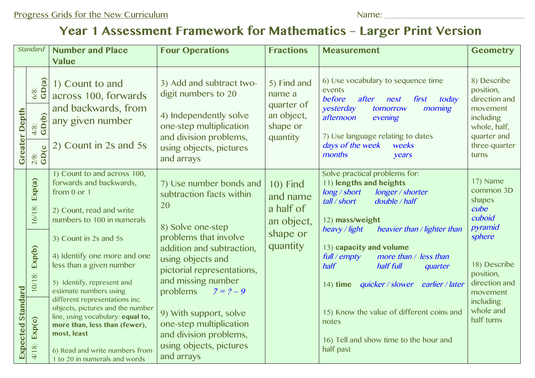## **Year 1 Assessment Framework for Mathematics – Larger Print Version**

| <b>Standard</b>          |                                                       | <b>Number and Place</b><br><b>Value</b>                                                                                                                                                                                                                                                                                                                                                                                                                                                                    | <b>Four Operations</b>                                                                                                                                                                                                                                                                                                                                        | <b>Fractions</b>                                                               | <b>Measurement</b>                                                                                                                                                                                                                                                                                                                                                                                                                                                    | <b>Geometry</b>                                                                                                                                                          |
|--------------------------|-------------------------------------------------------|------------------------------------------------------------------------------------------------------------------------------------------------------------------------------------------------------------------------------------------------------------------------------------------------------------------------------------------------------------------------------------------------------------------------------------------------------------------------------------------------------------|---------------------------------------------------------------------------------------------------------------------------------------------------------------------------------------------------------------------------------------------------------------------------------------------------------------------------------------------------------------|--------------------------------------------------------------------------------|-----------------------------------------------------------------------------------------------------------------------------------------------------------------------------------------------------------------------------------------------------------------------------------------------------------------------------------------------------------------------------------------------------------------------------------------------------------------------|--------------------------------------------------------------------------------------------------------------------------------------------------------------------------|
| <b>Greater Depth</b>     | $6/8$ :<br>GD(a)<br>$\frac{48}{3}$<br>$\frac{2/8}{3}$ | 1) Count to and<br>across 100, forwards<br>and backwards, from<br>any given number<br>2) Count in 2s and 5s                                                                                                                                                                                                                                                                                                                                                                                                | 3) Add and subtract two-<br>digit numbers to 20<br>4) Independently solve<br>one-step multiplication<br>and division problems,<br>using objects, pictures<br>and arrays                                                                                                                                                                                       | 5) Find and<br>name a<br>quarter of<br>an object,<br>shape or<br>quantity      | 6) Use vocabulary to sequence time<br>events<br>before<br>after<br>today<br>first<br>next<br>yesterday<br>morning<br>tomorrow<br>afternoon<br>evening<br>7) Use language relating to dates<br>days of the week<br>weeks<br>months<br>years                                                                                                                                                                                                                            | 8) Describe<br>position,<br>direction and<br>movement<br>including<br>whole, half,<br>quarter and<br>three-quarter<br>turns                                              |
| <b>Expected Standard</b> | Exp(a)<br>16/18:<br>Exp(b)<br>10/18:<br>4/18: Exp(c)  | 1) Count to and across 100,<br>forwards and backwards,<br>from 0 or 1<br>2) Count, read and write<br>numbers to 100 in numerals<br>3) Count in 2s and 5s<br>4) Identify one more and one<br>less than a given number<br>5) Identify, represent and<br>estimate numbers using<br>different representations inc.<br>objects, pictures and the number<br>line, using vocabulary: equal to,<br>more than, less than (fewer),<br>most, least<br>6) Read and write numbers from<br>1 to 20 in numerals and words | 7) Use number bonds and<br>subtraction facts within<br>20<br>8) Solve one-step<br>problems that involve<br>addition and subtraction,<br>using objects and<br>pictorial representations,<br>and missing number<br>problems $7 = ? - 9$<br>9) With support, solve<br>one-step multiplication<br>and division problems,<br>using objects, pictures<br>and arrays | <b>10) Find</b><br>and name<br>a half of<br>an object,<br>shape or<br>quantity | Solve practical problems for:<br>11) lengths and heights<br>long / short<br>longer / shorter<br>tall / short<br>double / half<br>12) mass/weight<br>heavy / light<br>heavier than / lighter than<br>13) capacity and volume<br>$full$ / empty<br>more than / less than<br>half<br>half full<br>quarter<br>quicker / slower earlier / later<br>$14)$ time<br>15) Know the value of different coins and<br>notes<br>16) Tell and show time to the hour and<br>half past | 17) Name<br>common 3D<br>shapes<br>cube<br>cuboid<br>pyramid<br>sphere<br>18) Describe<br>position,<br>direction and<br>movement<br>including<br>whole and<br>half turns |